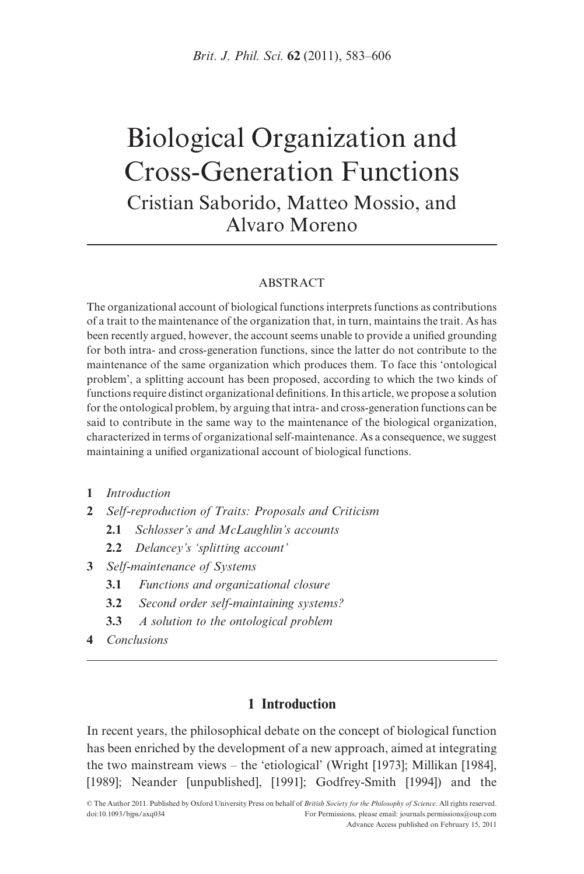# Biological Organization and Cross-Generation Functions Cristian Saborido, Matteo Mossio, and Alvaro Moreno

#### ABSTRACT

The organizational account of biological functions interprets functions as contributions of a trait to the maintenance of the organization that, in turn, maintains the trait. As has been recently argued, however, the account seems unable to provide a unified grounding for both intra- and cross-generation functions, since the latter do not contribute to the maintenance of the same organization which produces them. To face this 'ontological problem', a splitting account has been proposed, according to which the two kinds of functions require distinct organizational definitions. In this article, we propose a solution for the ontological problem, by arguing that intra- and cross-generation functions can be said to contribute in the same way to the maintenance of the biological organization, characterized in terms of organizational self-maintenance. As a consequence, we suggest maintaining a unified organizational account of biological functions.

- 1 Introduction
- 2 Self-reproduction of Traits: Proposals and Criticism
	- 2.1 Schlosser's and McLaughlin's accounts
	- 2.2 Delancey's 'splitting account'
- 3 Self-maintenance of Systems
	- 3.1 Functions and organizational closure
	- 3.2 Second order self-maintaining systems?
	- 3.3 A solution to the ontological problem
- 4 Conclusions

## 1 Introduction

In recent years, the philosophical debate on the concept of biological function has been enriched by the development of a new approach, aimed at integrating the two mainstream views – the 'etiological' (Wright [1973]; Millikan [1984], [1989]; Neander [unpublished], [1991]; Godfrey-Smith [1994]) and the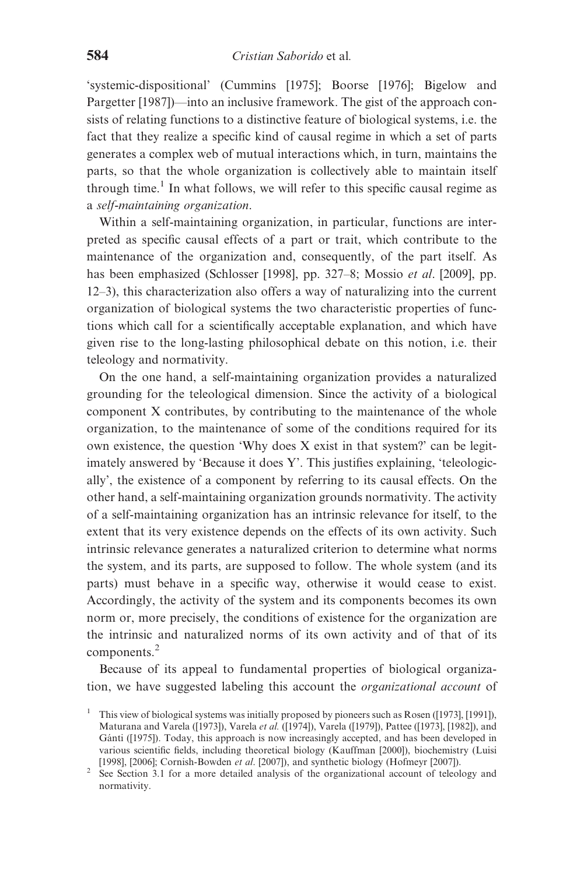'systemic-dispositional' (Cummins [1975]; Boorse [1976]; Bigelow and Pargetter [1987])—into an inclusive framework. The gist of the approach consists of relating functions to a distinctive feature of biological systems, i.e. the fact that they realize a specific kind of causal regime in which a set of parts generates a complex web of mutual interactions which, in turn, maintains the parts, so that the whole organization is collectively able to maintain itself through time.<sup>1</sup> In what follows, we will refer to this specific causal regime as a self-maintaining organization.

Within a self-maintaining organization, in particular, functions are interpreted as specific causal effects of a part or trait, which contribute to the maintenance of the organization and, consequently, of the part itself. As has been emphasized (Schlosser [1998], pp. 327–8; Mossio *et al.* [2009], pp. 12–3), this characterization also offers a way of naturalizing into the current organization of biological systems the two characteristic properties of functions which call for a scientifically acceptable explanation, and which have given rise to the long-lasting philosophical debate on this notion, i.e. their teleology and normativity.

On the one hand, a self-maintaining organization provides a naturalized grounding for the teleological dimension. Since the activity of a biological component X contributes, by contributing to the maintenance of the whole organization, to the maintenance of some of the conditions required for its own existence, the question 'Why does X exist in that system?' can be legitimately answered by 'Because it does Y'. This justifies explaining, 'teleologically', the existence of a component by referring to its causal effects. On the other hand, a self-maintaining organization grounds normativity. The activity of a self-maintaining organization has an intrinsic relevance for itself, to the extent that its very existence depends on the effects of its own activity. Such intrinsic relevance generates a naturalized criterion to determine what norms the system, and its parts, are supposed to follow. The whole system (and its parts) must behave in a specific way, otherwise it would cease to exist. Accordingly, the activity of the system and its components becomes its own norm or, more precisely, the conditions of existence for the organization are the intrinsic and naturalized norms of its own activity and of that of its components.<sup>2</sup>

Because of its appeal to fundamental properties of biological organization, we have suggested labeling this account the organizational account of

<sup>&</sup>lt;sup>1</sup> This view of biological systems was initially proposed by pioneers such as Rosen ([1973], [1991]), Maturana and Varela ([1973]), Varela et al. ([1974]), Varela ([1979]), Pattee ([1973], [1982]), and Gánti ([1975]). Today, this approach is now increasingly accepted, and has been developed in various scientific fields, including theoretical biology (Kauffman [2000]), biochemistry (Luisi [1998], [2006]; Cornish-Bowden et al. [2007]), and synthetic biology (Hofmeyr [2007]).

<sup>&</sup>lt;sup>2</sup> See Section 3.1 for a more detailed analysis of the organizational account of teleology and normativity.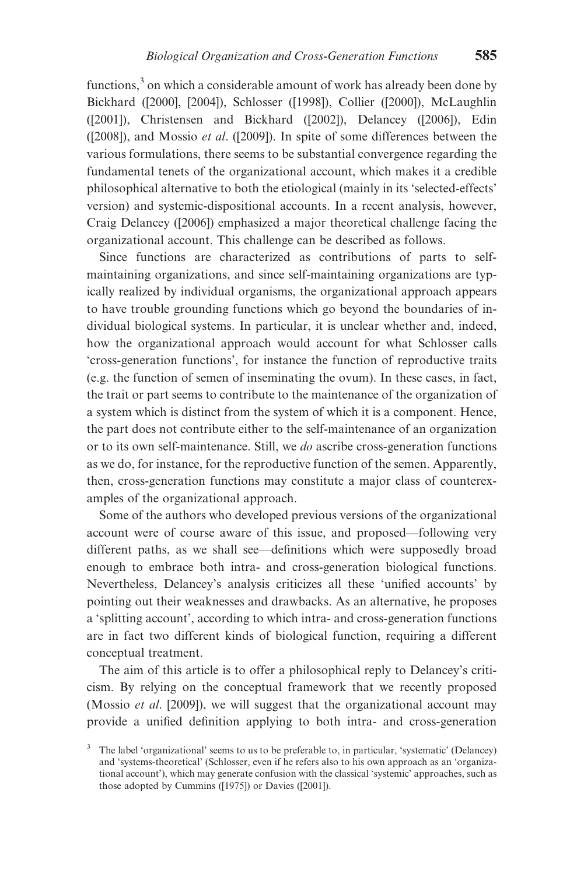functions,<sup>3</sup> on which a considerable amount of work has already been done by Bickhard ([2000], [2004]), Schlosser ([1998]), Collier ([2000]), McLaughlin ([2001]), Christensen and Bickhard ([2002]), Delancey ([2006]), Edin  $(2008)$ , and Mossio *et al.*  $(2009)$ . In spite of some differences between the various formulations, there seems to be substantial convergence regarding the fundamental tenets of the organizational account, which makes it a credible philosophical alternative to both the etiological (mainly in its 'selected-effects' version) and systemic-dispositional accounts. In a recent analysis, however, Craig Delancey ([2006]) emphasized a major theoretical challenge facing the organizational account. This challenge can be described as follows.

Since functions are characterized as contributions of parts to selfmaintaining organizations, and since self-maintaining organizations are typically realized by individual organisms, the organizational approach appears to have trouble grounding functions which go beyond the boundaries of individual biological systems. In particular, it is unclear whether and, indeed, how the organizational approach would account for what Schlosser calls 'cross-generation functions', for instance the function of reproductive traits (e.g. the function of semen of inseminating the ovum). In these cases, in fact, the trait or part seems to contribute to the maintenance of the organization of a system which is distinct from the system of which it is a component. Hence, the part does not contribute either to the self-maintenance of an organization or to its own self-maintenance. Still, we do ascribe cross-generation functions as we do, for instance, for the reproductive function of the semen. Apparently, then, cross-generation functions may constitute a major class of counterexamples of the organizational approach.

Some of the authors who developed previous versions of the organizational account were of course aware of this issue, and proposed—following very different paths, as we shall see—definitions which were supposedly broad enough to embrace both intra- and cross-generation biological functions. Nevertheless, Delancey's analysis criticizes all these 'unified accounts' by pointing out their weaknesses and drawbacks. As an alternative, he proposes a 'splitting account', according to which intra- and cross-generation functions are in fact two different kinds of biological function, requiring a different conceptual treatment.

The aim of this article is to offer a philosophical reply to Delancey's criticism. By relying on the conceptual framework that we recently proposed (Mossio *et al.* [2009]), we will suggest that the organizational account may provide a unified definition applying to both intra- and cross-generation

<sup>3</sup> The label 'organizational' seems to us to be preferable to, in particular, 'systematic' (Delancey) and 'systems-theoretical' (Schlosser, even if he refers also to his own approach as an 'organizational account'), which may generate confusion with the classical 'systemic' approaches, such as those adopted by Cummins ([1975]) or Davies ([2001]).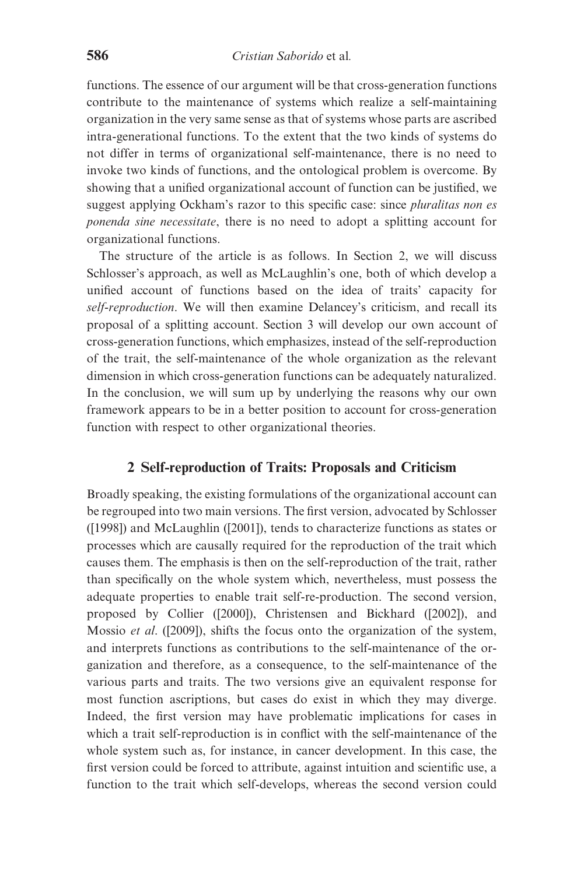functions. The essence of our argument will be that cross-generation functions contribute to the maintenance of systems which realize a self-maintaining organization in the very same sense as that of systems whose parts are ascribed intra-generational functions. To the extent that the two kinds of systems do not differ in terms of organizational self-maintenance, there is no need to invoke two kinds of functions, and the ontological problem is overcome. By showing that a unified organizational account of function can be justified, we suggest applying Ockham's razor to this specific case: since *pluralitas non es* ponenda sine necessitate, there is no need to adopt a splitting account for organizational functions.

The structure of the article is as follows. In Section 2, we will discuss Schlosser's approach, as well as McLaughlin's one, both of which develop a unified account of functions based on the idea of traits' capacity for self-reproduction. We will then examine Delancey's criticism, and recall its proposal of a splitting account. Section 3 will develop our own account of cross-generation functions, which emphasizes, instead of the self-reproduction of the trait, the self-maintenance of the whole organization as the relevant dimension in which cross-generation functions can be adequately naturalized. In the conclusion, we will sum up by underlying the reasons why our own framework appears to be in a better position to account for cross-generation function with respect to other organizational theories.

# 2 Self-reproduction of Traits: Proposals and Criticism

Broadly speaking, the existing formulations of the organizational account can be regrouped into two main versions. The first version, advocated by Schlosser ([1998]) and McLaughlin ([2001]), tends to characterize functions as states or processes which are causally required for the reproduction of the trait which causes them. The emphasis is then on the self-reproduction of the trait, rather than specifically on the whole system which, nevertheless, must possess the adequate properties to enable trait self-re-production. The second version, proposed by Collier ([2000]), Christensen and Bickhard ([2002]), and Mossio et al. ([2009]), shifts the focus onto the organization of the system, and interprets functions as contributions to the self-maintenance of the organization and therefore, as a consequence, to the self-maintenance of the various parts and traits. The two versions give an equivalent response for most function ascriptions, but cases do exist in which they may diverge. Indeed, the first version may have problematic implications for cases in which a trait self-reproduction is in conflict with the self-maintenance of the whole system such as, for instance, in cancer development. In this case, the first version could be forced to attribute, against intuition and scientific use, a function to the trait which self-develops, whereas the second version could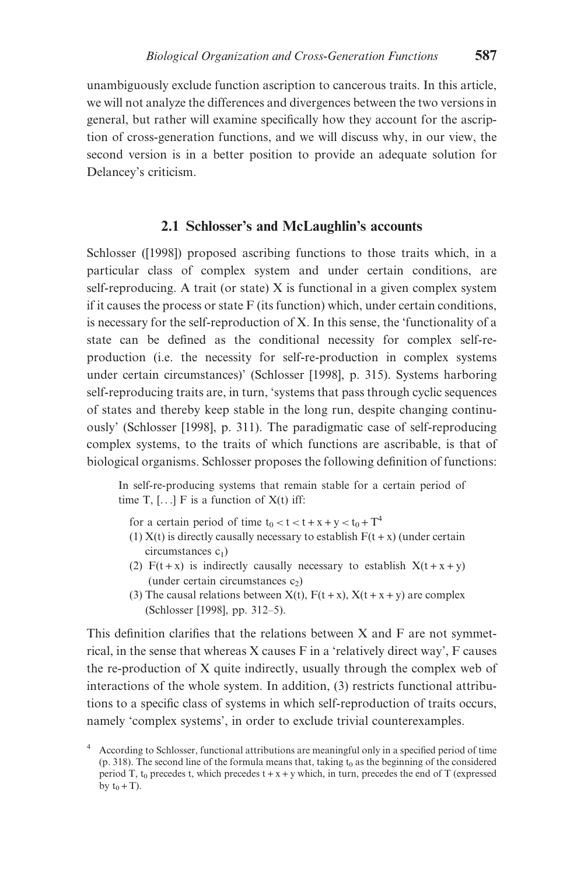unambiguously exclude function ascription to cancerous traits. In this article, we will not analyze the differences and divergences between the two versions in general, but rather will examine specifically how they account for the ascription of cross-generation functions, and we will discuss why, in our view, the second version is in a better position to provide an adequate solution for Delancey's criticism.

## 2.1 Schlosser's and McLaughlin's accounts

Schlosser ([1998]) proposed ascribing functions to those traits which, in a particular class of complex system and under certain conditions, are self-reproducing. A trait (or state) X is functional in a given complex system if it causes the process or state F (its function) which, under certain conditions, is necessary for the self-reproduction of X. In this sense, the 'functionality of a state can be defined as the conditional necessity for complex self-reproduction (i.e. the necessity for self-re-production in complex systems under certain circumstances)' (Schlosser [1998], p. 315). Systems harboring self-reproducing traits are, in turn, 'systems that pass through cyclic sequences of states and thereby keep stable in the long run, despite changing continuously' (Schlosser [1998], p. 311). The paradigmatic case of self-reproducing complex systems, to the traits of which functions are ascribable, is that of biological organisms. Schlosser proposes the following definition of functions:

In self-re-producing systems that remain stable for a certain period of time T,  $[...]$  F is a function of  $X(t)$  iff:

- for a certain period of time  $t_0 < t < t + x + y < t_0 + T^4$
- (1)  $X(t)$  is directly causally necessary to establish  $F(t + x)$  (under certain  $circumstances c<sub>1</sub>$ )
- (2)  $F(t + x)$  is indirectly causally necessary to establish  $X(t + x + y)$ (under certain circumstances  $c_2$ )
- (3) The causal relations between  $X(t)$ ,  $F(t + x)$ ,  $X(t + x + y)$  are complex (Schlosser [1998], pp. 312–5).

This definition clarifies that the relations between X and F are not symmetrical, in the sense that whereas X causes F in a 'relatively direct way', F causes the re-production of X quite indirectly, usually through the complex web of interactions of the whole system. In addition, (3) restricts functional attributions to a specific class of systems in which self-reproduction of traits occurs, namely 'complex systems', in order to exclude trivial counterexamples.

<sup>4</sup> According to Schlosser, functional attributions are meaningful only in a specified period of time (p. 318). The second line of the formula means that, taking  $t_0$  as the beginning of the considered period T,  $t_0$  precedes t, which precedes  $t + x + y$  which, in turn, precedes the end of T (expressed by  $t_0 + T$ ).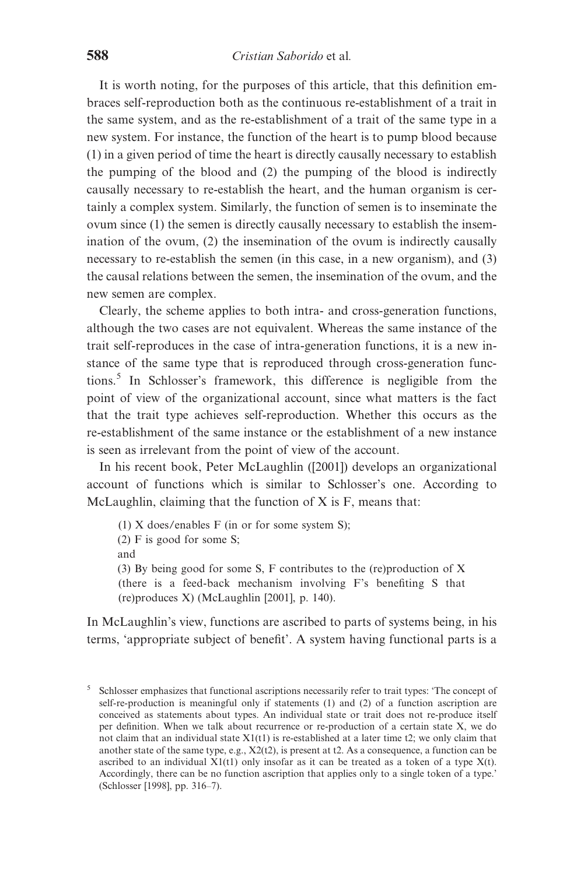It is worth noting, for the purposes of this article, that this definition embraces self-reproduction both as the continuous re-establishment of a trait in the same system, and as the re-establishment of a trait of the same type in a new system. For instance, the function of the heart is to pump blood because (1) in a given period of time the heart is directly causally necessary to establish the pumping of the blood and (2) the pumping of the blood is indirectly causally necessary to re-establish the heart, and the human organism is certainly a complex system. Similarly, the function of semen is to inseminate the ovum since (1) the semen is directly causally necessary to establish the insemination of the ovum, (2) the insemination of the ovum is indirectly causally necessary to re-establish the semen (in this case, in a new organism), and (3) the causal relations between the semen, the insemination of the ovum, and the new semen are complex.

Clearly, the scheme applies to both intra- and cross-generation functions, although the two cases are not equivalent. Whereas the same instance of the trait self-reproduces in the case of intra-generation functions, it is a new instance of the same type that is reproduced through cross-generation functions.<sup>5</sup> In Schlosser's framework, this difference is negligible from the point of view of the organizational account, since what matters is the fact that the trait type achieves self-reproduction. Whether this occurs as the re-establishment of the same instance or the establishment of a new instance is seen as irrelevant from the point of view of the account.

In his recent book, Peter McLaughlin ([2001]) develops an organizational account of functions which is similar to Schlosser's one. According to McLaughlin, claiming that the function of  $X$  is  $F$ , means that:

(1) X does/enables F (in or for some system S); (2) F is good for some S; and (3) By being good for some S, F contributes to the (re)production of X (there is a feed-back mechanism involving F's benefiting S that (re)produces X) (McLaughlin [2001], p. 140).

In McLaughlin's view, functions are ascribed to parts of systems being, in his terms, 'appropriate subject of benefit'. A system having functional parts is a

<sup>&</sup>lt;sup>5</sup> Schlosser emphasizes that functional ascriptions necessarily refer to trait types: 'The concept of self-re-production is meaningful only if statements (1) and (2) of a function ascription are conceived as statements about types. An individual state or trait does not re-produce itself per definition. When we talk about recurrence or re-production of a certain state X, we do not claim that an individual state  $X1(t1)$  is re-established at a later time t2; we only claim that another state of the same type, e.g.,  $X2(t2)$ , is present at t2. As a consequence, a function can be ascribed to an individual  $X1(t1)$  only insofar as it can be treated as a token of a type  $X(t)$ . Accordingly, there can be no function ascription that applies only to a single token of a type.' (Schlosser [1998], pp. 316–7).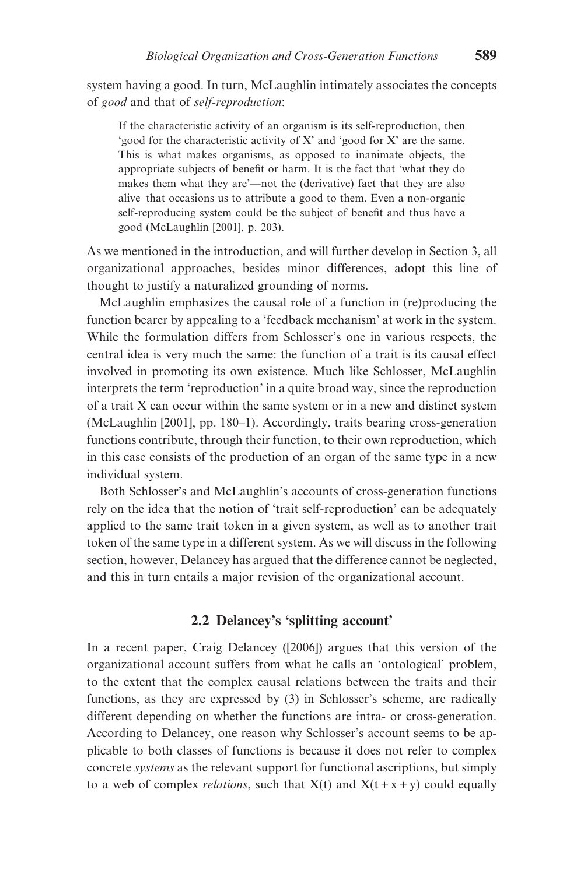system having a good. In turn, McLaughlin intimately associates the concepts of good and that of self-reproduction:

If the characteristic activity of an organism is its self-reproduction, then 'good for the characteristic activity of X' and 'good for X' are the same. This is what makes organisms, as opposed to inanimate objects, the appropriate subjects of benefit or harm. It is the fact that 'what they do makes them what they are'—not the (derivative) fact that they are also alive–that occasions us to attribute a good to them. Even a non-organic self-reproducing system could be the subject of benefit and thus have a good (McLaughlin [2001], p. 203).

As we mentioned in the introduction, and will further develop in Section 3, all organizational approaches, besides minor differences, adopt this line of thought to justify a naturalized grounding of norms.

McLaughlin emphasizes the causal role of a function in (re)producing the function bearer by appealing to a 'feedback mechanism' at work in the system. While the formulation differs from Schlosser's one in various respects, the central idea is very much the same: the function of a trait is its causal effect involved in promoting its own existence. Much like Schlosser, McLaughlin interprets the term 'reproduction' in a quite broad way, since the reproduction of a trait X can occur within the same system or in a new and distinct system (McLaughlin [2001], pp. 180–1). Accordingly, traits bearing cross-generation functions contribute, through their function, to their own reproduction, which in this case consists of the production of an organ of the same type in a new individual system.

Both Schlosser's and McLaughlin's accounts of cross-generation functions rely on the idea that the notion of 'trait self-reproduction' can be adequately applied to the same trait token in a given system, as well as to another trait token of the same type in a different system. As we will discuss in the following section, however, Delancey has argued that the difference cannot be neglected, and this in turn entails a major revision of the organizational account.

#### 2.2 Delancey's 'splitting account'

In a recent paper, Craig Delancey ([2006]) argues that this version of the organizational account suffers from what he calls an 'ontological' problem, to the extent that the complex causal relations between the traits and their functions, as they are expressed by (3) in Schlosser's scheme, are radically different depending on whether the functions are intra- or cross-generation. According to Delancey, one reason why Schlosser's account seems to be applicable to both classes of functions is because it does not refer to complex concrete systems as the relevant support for functional ascriptions, but simply to a web of complex *relations*, such that  $X(t)$  and  $X(t + x + y)$  could equally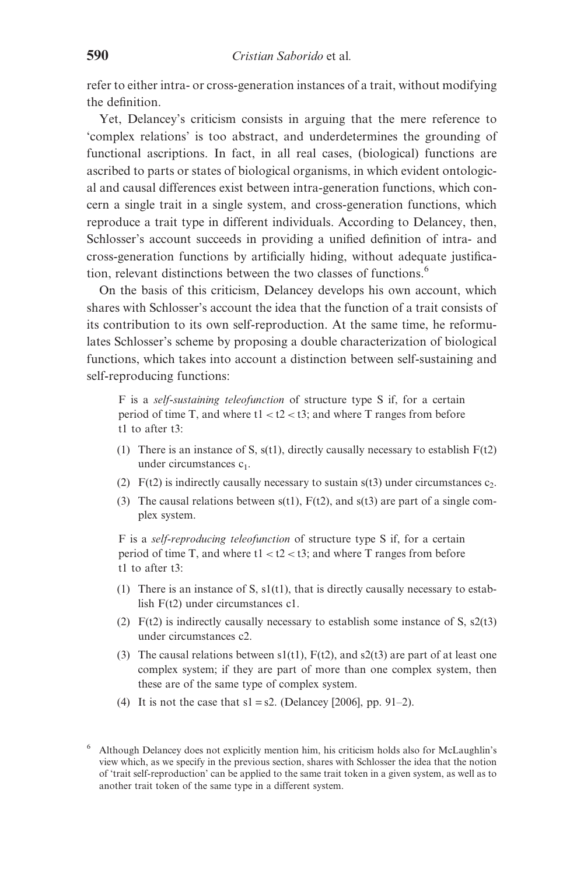refer to either intra- or cross-generation instances of a trait, without modifying the definition.

Yet, Delancey's criticism consists in arguing that the mere reference to 'complex relations' is too abstract, and underdetermines the grounding of functional ascriptions. In fact, in all real cases, (biological) functions are ascribed to parts or states of biological organisms, in which evident ontological and causal differences exist between intra-generation functions, which concern a single trait in a single system, and cross-generation functions, which reproduce a trait type in different individuals. According to Delancey, then, Schlosser's account succeeds in providing a unified definition of intra- and cross-generation functions by artificially hiding, without adequate justification, relevant distinctions between the two classes of functions.<sup>6</sup>

On the basis of this criticism, Delancey develops his own account, which shares with Schlosser's account the idea that the function of a trait consists of its contribution to its own self-reproduction. At the same time, he reformulates Schlosser's scheme by proposing a double characterization of biological functions, which takes into account a distinction between self-sustaining and self-reproducing functions:

F is a self-sustaining teleofunction of structure type S if, for a certain period of time T, and where  $t1 < t2 < t3$ ; and where T ranges from before t1 to after t3:

- (1) There is an instance of S,  $s(t)$ , directly causally necessary to establish  $F(t)$ under circumstances  $c_1$ .
- (2) F(t2) is indirectly causally necessary to sustain  $s(t3)$  under circumstances  $c_2$ .
- (3) The causal relations between  $s(t)$ ,  $F(t)$ , and  $s(t)$  are part of a single complex system.

F is a self-reproducing teleofunction of structure type S if, for a certain period of time T, and where  $t1 < t2 < t3$ ; and where T ranges from before t1 to after t3:

- (1) There is an instance of S, s1(t1), that is directly causally necessary to establish F(t2) under circumstances c1.
- (2)  $F(t2)$  is indirectly causally necessary to establish some instance of S,  $s2(t3)$ under circumstances c2.
- (3) The causal relations between  $s1(t1)$ ,  $F(t2)$ , and  $s2(t3)$  are part of at least one complex system; if they are part of more than one complex system, then these are of the same type of complex system.
- (4) It is not the case that  $s1 = s2$ . (Delancey [2006], pp. 91–2).

<sup>6</sup> Although Delancey does not explicitly mention him, his criticism holds also for McLaughlin's view which, as we specify in the previous section, shares with Schlosser the idea that the notion of 'trait self-reproduction' can be applied to the same trait token in a given system, as well as to another trait token of the same type in a different system.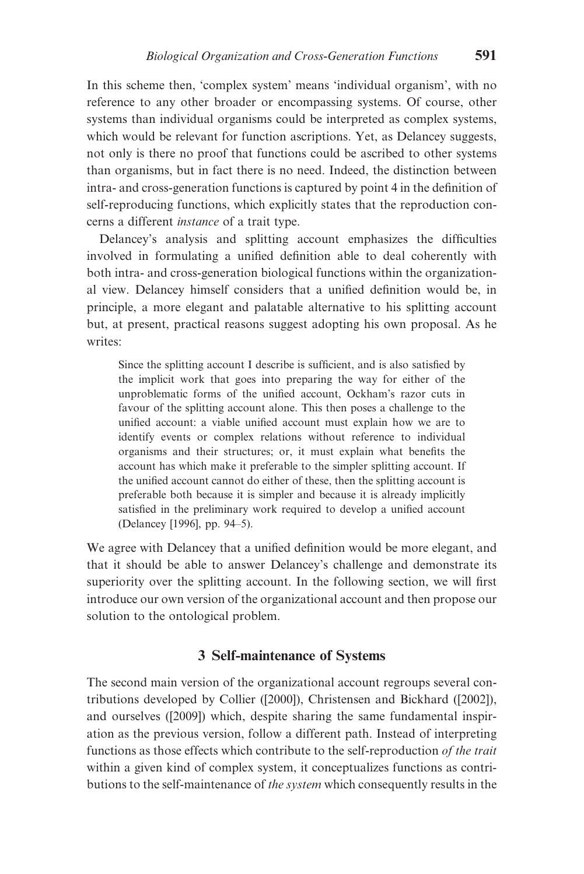In this scheme then, 'complex system' means 'individual organism', with no reference to any other broader or encompassing systems. Of course, other systems than individual organisms could be interpreted as complex systems, which would be relevant for function ascriptions. Yet, as Delancey suggests, not only is there no proof that functions could be ascribed to other systems than organisms, but in fact there is no need. Indeed, the distinction between intra- and cross-generation functions is captured by point 4 in the definition of self-reproducing functions, which explicitly states that the reproduction concerns a different instance of a trait type.

Delancey's analysis and splitting account emphasizes the difficulties involved in formulating a unified definition able to deal coherently with both intra- and cross-generation biological functions within the organizational view. Delancey himself considers that a unified definition would be, in principle, a more elegant and palatable alternative to his splitting account but, at present, practical reasons suggest adopting his own proposal. As he writes:

Since the splitting account I describe is sufficient, and is also satisfied by the implicit work that goes into preparing the way for either of the unproblematic forms of the unified account, Ockham's razor cuts in favour of the splitting account alone. This then poses a challenge to the unified account: a viable unified account must explain how we are to identify events or complex relations without reference to individual organisms and their structures; or, it must explain what benefits the account has which make it preferable to the simpler splitting account. If the unified account cannot do either of these, then the splitting account is preferable both because it is simpler and because it is already implicitly satisfied in the preliminary work required to develop a unified account (Delancey [1996], pp. 94–5).

We agree with Delancey that a unified definition would be more elegant, and that it should be able to answer Delancey's challenge and demonstrate its superiority over the splitting account. In the following section, we will first introduce our own version of the organizational account and then propose our solution to the ontological problem.

### 3 Self-maintenance of Systems

The second main version of the organizational account regroups several contributions developed by Collier ([2000]), Christensen and Bickhard ([2002]), and ourselves ([2009]) which, despite sharing the same fundamental inspiration as the previous version, follow a different path. Instead of interpreting functions as those effects which contribute to the self-reproduction of the trait within a given kind of complex system, it conceptualizes functions as contributions to the self-maintenance of the system which consequently results in the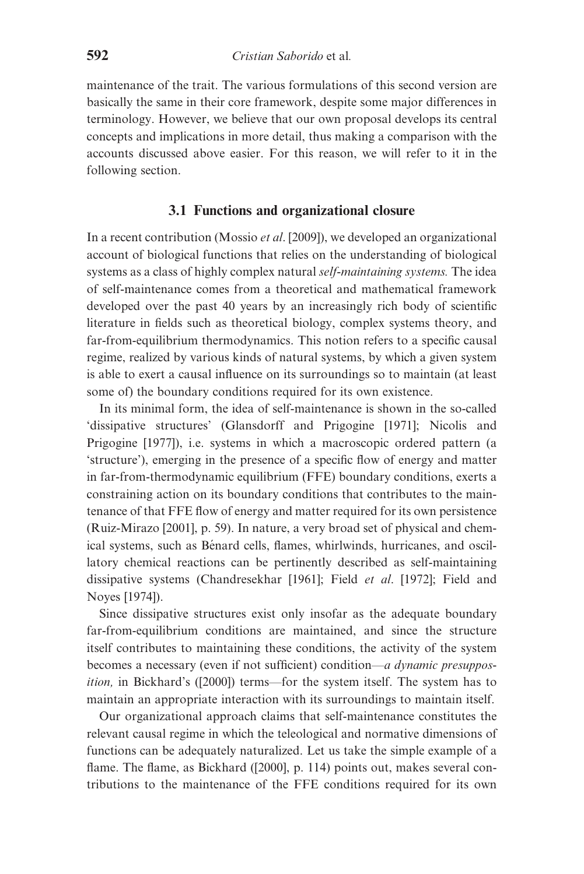maintenance of the trait. The various formulations of this second version are basically the same in their core framework, despite some major differences in terminology. However, we believe that our own proposal develops its central concepts and implications in more detail, thus making a comparison with the accounts discussed above easier. For this reason, we will refer to it in the following section.

## 3.1 Functions and organizational closure

In a recent contribution (Mossio et al. [2009]), we developed an organizational account of biological functions that relies on the understanding of biological systems as a class of highly complex natural *self-maintaining systems*. The idea of self-maintenance comes from a theoretical and mathematical framework developed over the past 40 years by an increasingly rich body of scientific literature in fields such as theoretical biology, complex systems theory, and far-from-equilibrium thermodynamics. This notion refers to a specific causal regime, realized by various kinds of natural systems, by which a given system is able to exert a causal influence on its surroundings so to maintain (at least some of) the boundary conditions required for its own existence.

In its minimal form, the idea of self-maintenance is shown in the so-called 'dissipative structures' (Glansdorff and Prigogine [1971]; Nicolis and Prigogine [1977]), i.e. systems in which a macroscopic ordered pattern (a 'structure'), emerging in the presence of a specific flow of energy and matter in far-from-thermodynamic equilibrium (FFE) boundary conditions, exerts a constraining action on its boundary conditions that contributes to the maintenance of that FFE flow of energy and matter required for its own persistence (Ruiz-Mirazo [2001], p. 59). In nature, a very broad set of physical and chemical systems, such as Bénard cells, flames, whirlwinds, hurricanes, and oscillatory chemical reactions can be pertinently described as self-maintaining dissipative systems (Chandresekhar [1961]; Field et al. [1972]; Field and Noyes [1974]).

Since dissipative structures exist only insofar as the adequate boundary far-from-equilibrium conditions are maintained, and since the structure itself contributes to maintaining these conditions, the activity of the system becomes a necessary (even if not sufficient) condition—a dynamic presupposition, in Bickhard's ([2000]) terms—for the system itself. The system has to maintain an appropriate interaction with its surroundings to maintain itself.

Our organizational approach claims that self-maintenance constitutes the relevant causal regime in which the teleological and normative dimensions of functions can be adequately naturalized. Let us take the simple example of a flame. The flame, as Bickhard ([2000], p. 114) points out, makes several contributions to the maintenance of the FFE conditions required for its own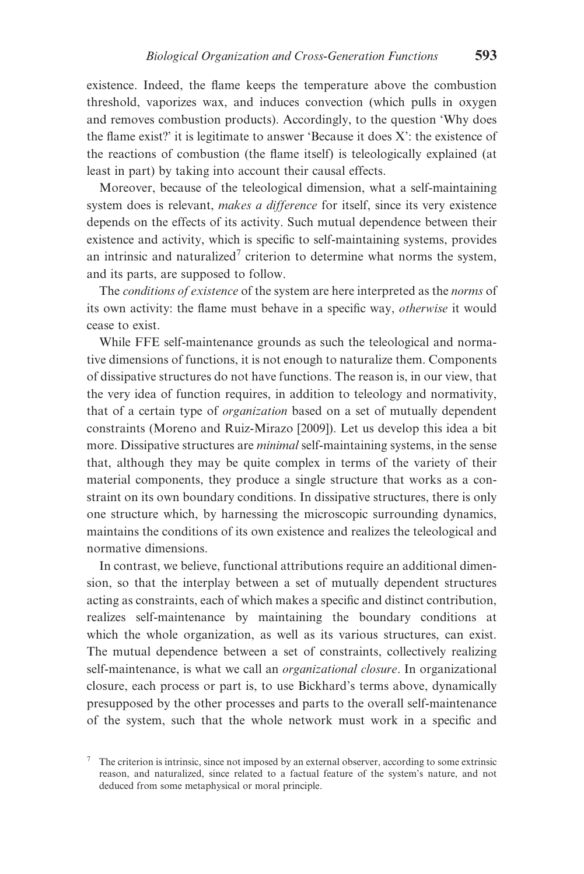existence. Indeed, the flame keeps the temperature above the combustion threshold, vaporizes wax, and induces convection (which pulls in oxygen and removes combustion products). Accordingly, to the question 'Why does the flame exist?' it is legitimate to answer 'Because it does  $X'$ : the existence of the reactions of combustion (the flame itself) is teleologically explained (at least in part) by taking into account their causal effects.

Moreover, because of the teleological dimension, what a self-maintaining system does is relevant, makes a difference for itself, since its very existence depends on the effects of its activity. Such mutual dependence between their existence and activity, which is specific to self-maintaining systems, provides an intrinsic and naturalized<sup>7</sup> criterion to determine what norms the system, and its parts, are supposed to follow.

The *conditions of existence* of the system are here interpreted as the *norms* of its own activity: the flame must behave in a specific way, otherwise it would cease to exist.

While FFE self-maintenance grounds as such the teleological and normative dimensions of functions, it is not enough to naturalize them. Components of dissipative structures do not have functions. The reason is, in our view, that the very idea of function requires, in addition to teleology and normativity, that of a certain type of organization based on a set of mutually dependent constraints (Moreno and Ruiz-Mirazo [2009]). Let us develop this idea a bit more. Dissipative structures are minimal self-maintaining systems, in the sense that, although they may be quite complex in terms of the variety of their material components, they produce a single structure that works as a constraint on its own boundary conditions. In dissipative structures, there is only one structure which, by harnessing the microscopic surrounding dynamics, maintains the conditions of its own existence and realizes the teleological and normative dimensions.

In contrast, we believe, functional attributions require an additional dimension, so that the interplay between a set of mutually dependent structures acting as constraints, each of which makes a specific and distinct contribution, realizes self-maintenance by maintaining the boundary conditions at which the whole organization, as well as its various structures, can exist. The mutual dependence between a set of constraints, collectively realizing self-maintenance, is what we call an *organizational closure*. In organizational closure, each process or part is, to use Bickhard's terms above, dynamically presupposed by the other processes and parts to the overall self-maintenance of the system, such that the whole network must work in a specific and

<sup>7</sup> The criterion is intrinsic, since not imposed by an external observer, according to some extrinsic reason, and naturalized, since related to a factual feature of the system's nature, and not deduced from some metaphysical or moral principle.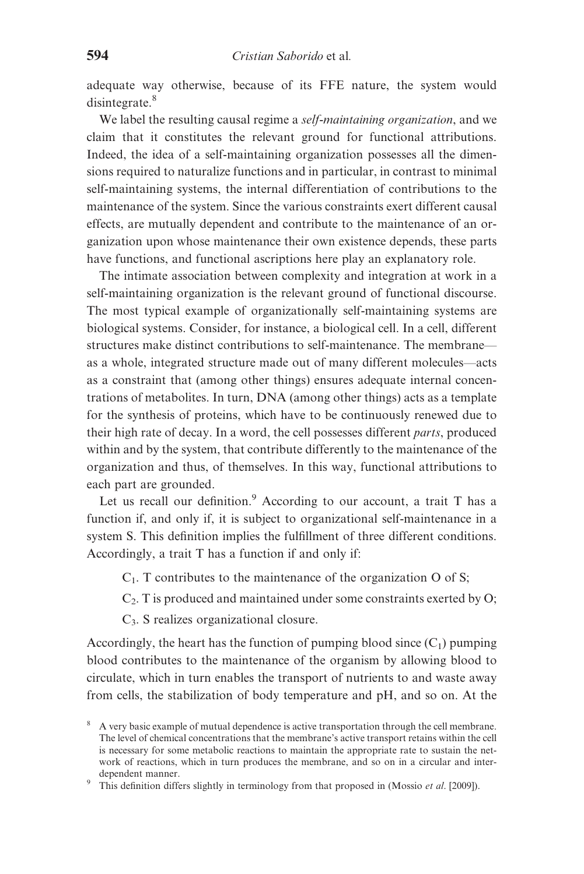adequate way otherwise, because of its FFE nature, the system would disintegrate.<sup>8</sup>

We label the resulting causal regime a *self-maintaining organization*, and we claim that it constitutes the relevant ground for functional attributions. Indeed, the idea of a self-maintaining organization possesses all the dimensions required to naturalize functions and in particular, in contrast to minimal self-maintaining systems, the internal differentiation of contributions to the maintenance of the system. Since the various constraints exert different causal effects, are mutually dependent and contribute to the maintenance of an organization upon whose maintenance their own existence depends, these parts have functions, and functional ascriptions here play an explanatory role.

The intimate association between complexity and integration at work in a self-maintaining organization is the relevant ground of functional discourse. The most typical example of organizationally self-maintaining systems are biological systems. Consider, for instance, a biological cell. In a cell, different structures make distinct contributions to self-maintenance. The membrane as a whole, integrated structure made out of many different molecules—acts as a constraint that (among other things) ensures adequate internal concentrations of metabolites. In turn, DNA (among other things) acts as a template for the synthesis of proteins, which have to be continuously renewed due to their high rate of decay. In a word, the cell possesses different parts, produced within and by the system, that contribute differently to the maintenance of the organization and thus, of themselves. In this way, functional attributions to each part are grounded.

Let us recall our definition.<sup>9</sup> According to our account, a trait  $T$  has a function if, and only if, it is subject to organizational self-maintenance in a system S. This definition implies the fulfillment of three different conditions. Accordingly, a trait T has a function if and only if:

 $C_1$ . T contributes to the maintenance of the organization O of S;

 $C<sub>2</sub>$ . T is produced and maintained under some constraints exerted by O;

C3. S realizes organizational closure.

Accordingly, the heart has the function of pumping blood since  $(C_1)$  pumping blood contributes to the maintenance of the organism by allowing blood to circulate, which in turn enables the transport of nutrients to and waste away from cells, the stabilization of body temperature and pH, and so on. At the

<sup>8</sup> A very basic example of mutual dependence is active transportation through the cell membrane. The level of chemical concentrations that the membrane's active transport retains within the cell is necessary for some metabolic reactions to maintain the appropriate rate to sustain the network of reactions, which in turn produces the membrane, and so on in a circular and inter-

dependent manner.<br>9 This definition differs slightly in terminology from that proposed in (Mossio *et al.* [2009]).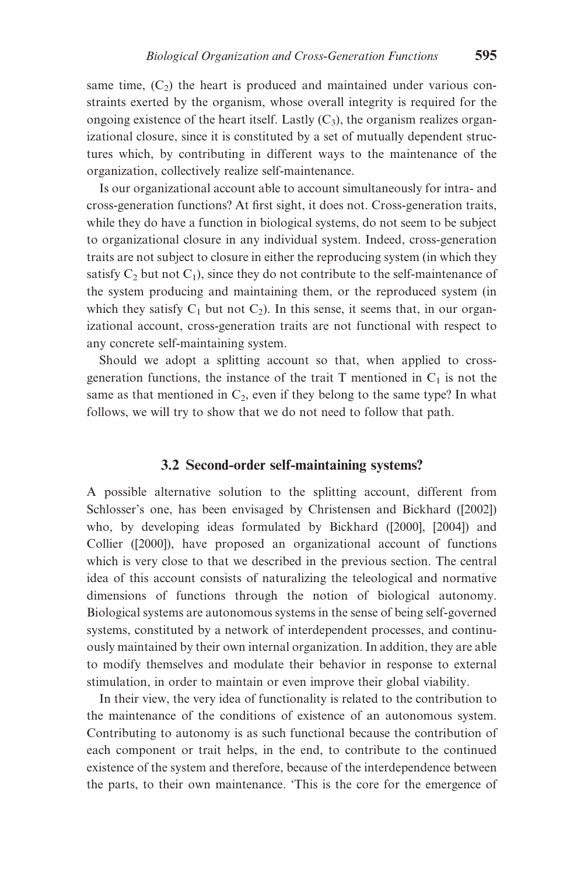same time,  $(C_2)$  the heart is produced and maintained under various constraints exerted by the organism, whose overall integrity is required for the ongoing existence of the heart itself. Lastly  $(C_3)$ , the organism realizes organizational closure, since it is constituted by a set of mutually dependent structures which, by contributing in different ways to the maintenance of the organization, collectively realize self-maintenance.

Is our organizational account able to account simultaneously for intra- and cross-generation functions? At first sight, it does not. Cross-generation traits, while they do have a function in biological systems, do not seem to be subject to organizational closure in any individual system. Indeed, cross-generation traits are not subject to closure in either the reproducing system (in which they satisfy  $C_2$  but not  $C_1$ ), since they do not contribute to the self-maintenance of the system producing and maintaining them, or the reproduced system (in which they satisfy  $C_1$  but not  $C_2$ ). In this sense, it seems that, in our organizational account, cross-generation traits are not functional with respect to any concrete self-maintaining system.

Should we adopt a splitting account so that, when applied to crossgeneration functions, the instance of the trait  $T$  mentioned in  $C_1$  is not the same as that mentioned in  $C_2$ , even if they belong to the same type? In what follows, we will try to show that we do not need to follow that path.

#### 3.2 Second-order self-maintaining systems?

A possible alternative solution to the splitting account, different from Schlosser's one, has been envisaged by Christensen and Bickhard ([2002]) who, by developing ideas formulated by Bickhard ([2000], [2004]) and Collier ([2000]), have proposed an organizational account of functions which is very close to that we described in the previous section. The central idea of this account consists of naturalizing the teleological and normative dimensions of functions through the notion of biological autonomy. Biological systems are autonomous systems in the sense of being self-governed systems, constituted by a network of interdependent processes, and continuously maintained by their own internal organization. In addition, they are able to modify themselves and modulate their behavior in response to external stimulation, in order to maintain or even improve their global viability.

In their view, the very idea of functionality is related to the contribution to the maintenance of the conditions of existence of an autonomous system. Contributing to autonomy is as such functional because the contribution of each component or trait helps, in the end, to contribute to the continued existence of the system and therefore, because of the interdependence between the parts, to their own maintenance. 'This is the core for the emergence of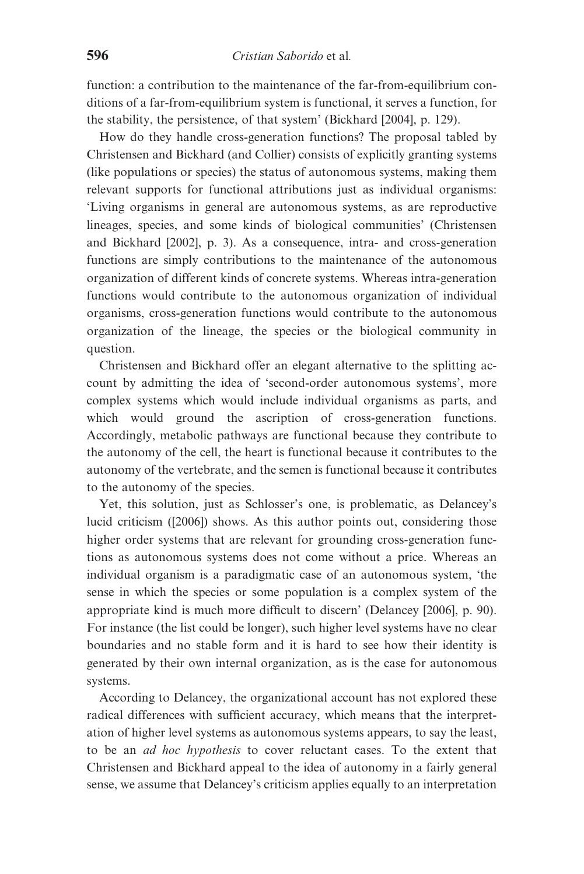function: a contribution to the maintenance of the far-from-equilibrium conditions of a far-from-equilibrium system is functional, it serves a function, for the stability, the persistence, of that system' (Bickhard [2004], p. 129).

How do they handle cross-generation functions? The proposal tabled by Christensen and Bickhard (and Collier) consists of explicitly granting systems (like populations or species) the status of autonomous systems, making them relevant supports for functional attributions just as individual organisms: 'Living organisms in general are autonomous systems, as are reproductive lineages, species, and some kinds of biological communities' (Christensen and Bickhard [2002], p. 3). As a consequence, intra- and cross-generation functions are simply contributions to the maintenance of the autonomous organization of different kinds of concrete systems. Whereas intra-generation functions would contribute to the autonomous organization of individual organisms, cross-generation functions would contribute to the autonomous organization of the lineage, the species or the biological community in question.

Christensen and Bickhard offer an elegant alternative to the splitting account by admitting the idea of 'second-order autonomous systems', more complex systems which would include individual organisms as parts, and which would ground the ascription of cross-generation functions. Accordingly, metabolic pathways are functional because they contribute to the autonomy of the cell, the heart is functional because it contributes to the autonomy of the vertebrate, and the semen is functional because it contributes to the autonomy of the species.

Yet, this solution, just as Schlosser's one, is problematic, as Delancey's lucid criticism ([2006]) shows. As this author points out, considering those higher order systems that are relevant for grounding cross-generation functions as autonomous systems does not come without a price. Whereas an individual organism is a paradigmatic case of an autonomous system, 'the sense in which the species or some population is a complex system of the appropriate kind is much more difficult to discern' (Delancey [2006], p. 90). For instance (the list could be longer), such higher level systems have no clear boundaries and no stable form and it is hard to see how their identity is generated by their own internal organization, as is the case for autonomous systems.

According to Delancey, the organizational account has not explored these radical differences with sufficient accuracy, which means that the interpretation of higher level systems as autonomous systems appears, to say the least, to be an ad hoc hypothesis to cover reluctant cases. To the extent that Christensen and Bickhard appeal to the idea of autonomy in a fairly general sense, we assume that Delancey's criticism applies equally to an interpretation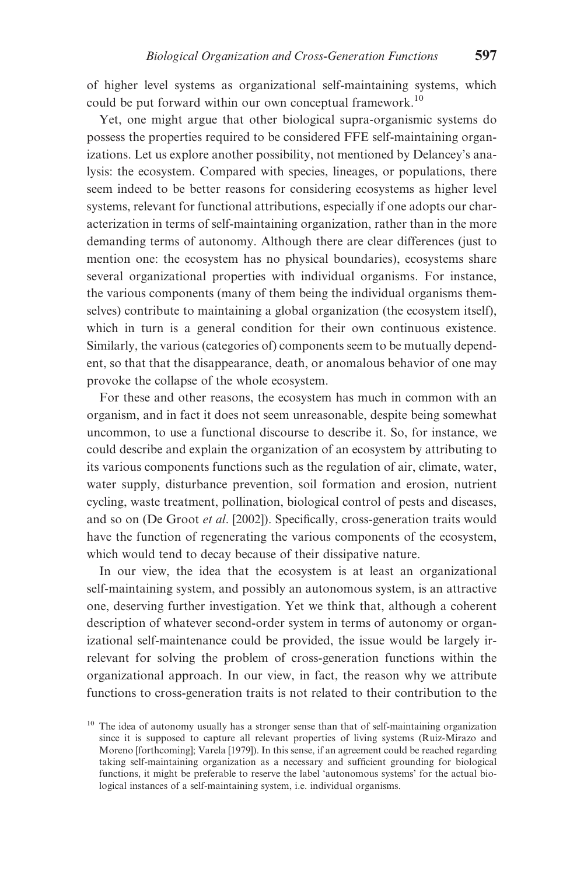of higher level systems as organizational self-maintaining systems, which could be put forward within our own conceptual framework.<sup>10</sup>

Yet, one might argue that other biological supra-organismic systems do possess the properties required to be considered FFE self-maintaining organizations. Let us explore another possibility, not mentioned by Delancey's analysis: the ecosystem. Compared with species, lineages, or populations, there seem indeed to be better reasons for considering ecosystems as higher level systems, relevant for functional attributions, especially if one adopts our characterization in terms of self-maintaining organization, rather than in the more demanding terms of autonomy. Although there are clear differences (just to mention one: the ecosystem has no physical boundaries), ecosystems share several organizational properties with individual organisms. For instance, the various components (many of them being the individual organisms themselves) contribute to maintaining a global organization (the ecosystem itself), which in turn is a general condition for their own continuous existence. Similarly, the various (categories of) components seem to be mutually dependent, so that that the disappearance, death, or anomalous behavior of one may provoke the collapse of the whole ecosystem.

For these and other reasons, the ecosystem has much in common with an organism, and in fact it does not seem unreasonable, despite being somewhat uncommon, to use a functional discourse to describe it. So, for instance, we could describe and explain the organization of an ecosystem by attributing to its various components functions such as the regulation of air, climate, water, water supply, disturbance prevention, soil formation and erosion, nutrient cycling, waste treatment, pollination, biological control of pests and diseases, and so on (De Groot et al. [2002]). Specifically, cross-generation traits would have the function of regenerating the various components of the ecosystem, which would tend to decay because of their dissipative nature.

In our view, the idea that the ecosystem is at least an organizational self-maintaining system, and possibly an autonomous system, is an attractive one, deserving further investigation. Yet we think that, although a coherent description of whatever second-order system in terms of autonomy or organizational self-maintenance could be provided, the issue would be largely irrelevant for solving the problem of cross-generation functions within the organizational approach. In our view, in fact, the reason why we attribute functions to cross-generation traits is not related to their contribution to the

<sup>&</sup>lt;sup>10</sup> The idea of autonomy usually has a stronger sense than that of self-maintaining organization since it is supposed to capture all relevant properties of living systems (Ruiz-Mirazo and Moreno [forthcoming]; Varela [1979]). In this sense, if an agreement could be reached regarding taking self-maintaining organization as a necessary and sufficient grounding for biological functions, it might be preferable to reserve the label 'autonomous systems' for the actual biological instances of a self-maintaining system, i.e. individual organisms.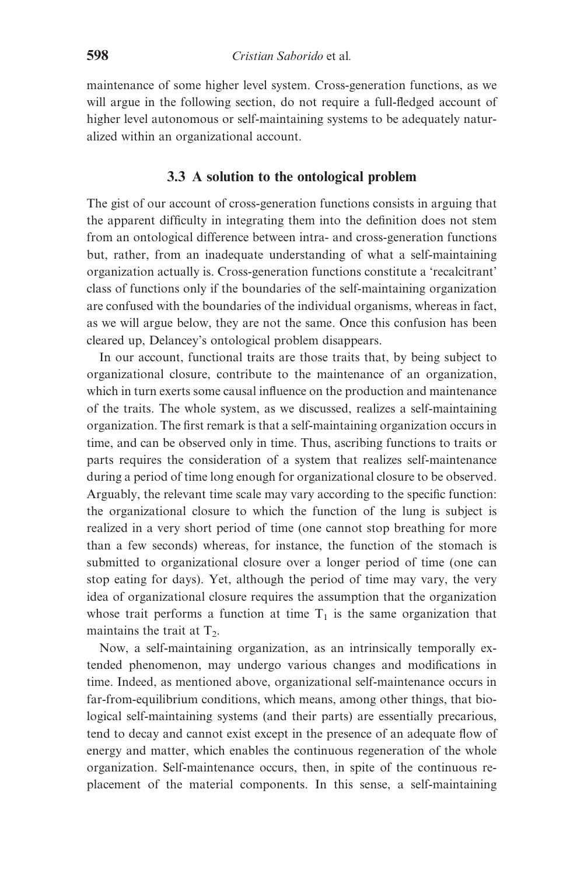maintenance of some higher level system. Cross-generation functions, as we will argue in the following section, do not require a full-fledged account of higher level autonomous or self-maintaining systems to be adequately naturalized within an organizational account.

#### 3.3 A solution to the ontological problem

The gist of our account of cross-generation functions consists in arguing that the apparent difficulty in integrating them into the definition does not stem from an ontological difference between intra- and cross-generation functions but, rather, from an inadequate understanding of what a self-maintaining organization actually is. Cross-generation functions constitute a 'recalcitrant' class of functions only if the boundaries of the self-maintaining organization are confused with the boundaries of the individual organisms, whereas in fact, as we will argue below, they are not the same. Once this confusion has been cleared up, Delancey's ontological problem disappears.

In our account, functional traits are those traits that, by being subject to organizational closure, contribute to the maintenance of an organization, which in turn exerts some causal influence on the production and maintenance of the traits. The whole system, as we discussed, realizes a self-maintaining organization. The first remark is that a self-maintaining organization occurs in time, and can be observed only in time. Thus, ascribing functions to traits or parts requires the consideration of a system that realizes self-maintenance during a period of time long enough for organizational closure to be observed. Arguably, the relevant time scale may vary according to the specific function: the organizational closure to which the function of the lung is subject is realized in a very short period of time (one cannot stop breathing for more than a few seconds) whereas, for instance, the function of the stomach is submitted to organizational closure over a longer period of time (one can stop eating for days). Yet, although the period of time may vary, the very idea of organizational closure requires the assumption that the organization whose trait performs a function at time  $T_1$  is the same organization that maintains the trait at  $T<sub>2</sub>$ .

Now, a self-maintaining organization, as an intrinsically temporally extended phenomenon, may undergo various changes and modifications in time. Indeed, as mentioned above, organizational self-maintenance occurs in far-from-equilibrium conditions, which means, among other things, that biological self-maintaining systems (and their parts) are essentially precarious, tend to decay and cannot exist except in the presence of an adequate flow of energy and matter, which enables the continuous regeneration of the whole organization. Self-maintenance occurs, then, in spite of the continuous replacement of the material components. In this sense, a self-maintaining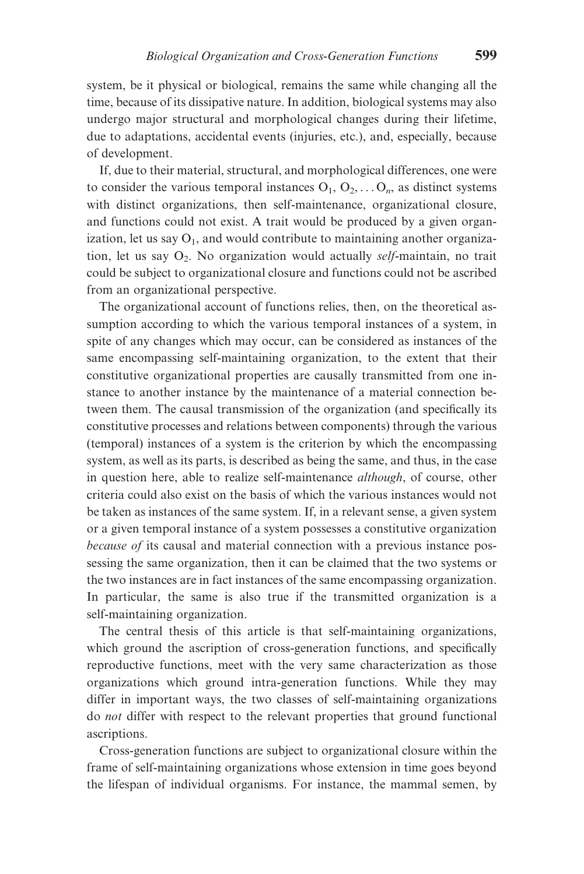system, be it physical or biological, remains the same while changing all the time, because of its dissipative nature. In addition, biological systems may also undergo major structural and morphological changes during their lifetime, due to adaptations, accidental events (injuries, etc.), and, especially, because of development.

If, due to their material, structural, and morphological differences, one were to consider the various temporal instances  $O_1, O_2, \ldots O_n$ , as distinct systems with distinct organizations, then self-maintenance, organizational closure, and functions could not exist. A trait would be produced by a given organization, let us say  $O<sub>1</sub>$ , and would contribute to maintaining another organization, let us say  $O_2$ . No organization would actually self-maintain, no trait could be subject to organizational closure and functions could not be ascribed from an organizational perspective.

The organizational account of functions relies, then, on the theoretical assumption according to which the various temporal instances of a system, in spite of any changes which may occur, can be considered as instances of the same encompassing self-maintaining organization, to the extent that their constitutive organizational properties are causally transmitted from one instance to another instance by the maintenance of a material connection between them. The causal transmission of the organization (and specifically its constitutive processes and relations between components) through the various (temporal) instances of a system is the criterion by which the encompassing system, as well as its parts, is described as being the same, and thus, in the case in question here, able to realize self-maintenance although, of course, other criteria could also exist on the basis of which the various instances would not be taken as instances of the same system. If, in a relevant sense, a given system or a given temporal instance of a system possesses a constitutive organization because of its causal and material connection with a previous instance possessing the same organization, then it can be claimed that the two systems or the two instances are in fact instances of the same encompassing organization. In particular, the same is also true if the transmitted organization is a self-maintaining organization.

The central thesis of this article is that self-maintaining organizations, which ground the ascription of cross-generation functions, and specifically reproductive functions, meet with the very same characterization as those organizations which ground intra-generation functions. While they may differ in important ways, the two classes of self-maintaining organizations do not differ with respect to the relevant properties that ground functional ascriptions.

Cross-generation functions are subject to organizational closure within the frame of self-maintaining organizations whose extension in time goes beyond the lifespan of individual organisms. For instance, the mammal semen, by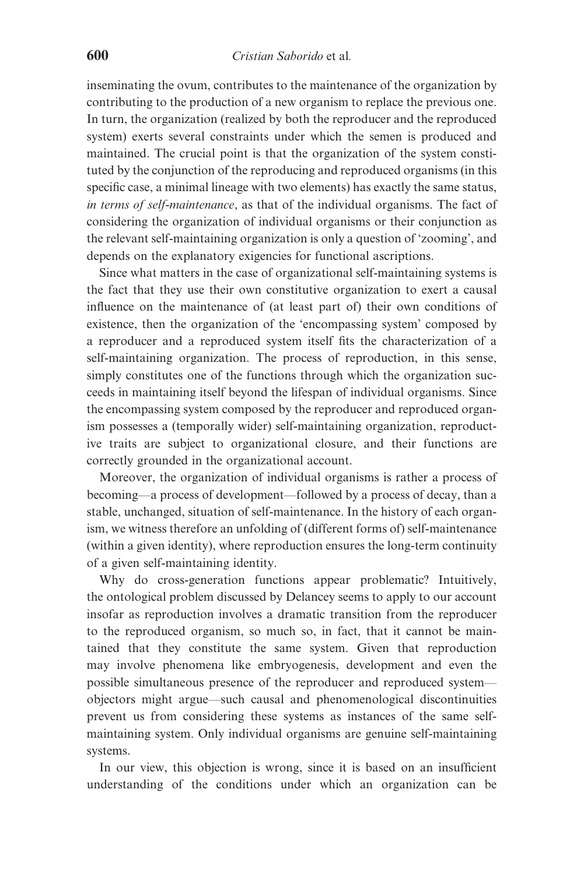inseminating the ovum, contributes to the maintenance of the organization by contributing to the production of a new organism to replace the previous one. In turn, the organization (realized by both the reproducer and the reproduced system) exerts several constraints under which the semen is produced and maintained. The crucial point is that the organization of the system constituted by the conjunction of the reproducing and reproduced organisms (in this specific case, a minimal lineage with two elements) has exactly the same status, in terms of self-maintenance, as that of the individual organisms. The fact of considering the organization of individual organisms or their conjunction as the relevant self-maintaining organization is only a question of 'zooming', and depends on the explanatory exigencies for functional ascriptions.

Since what matters in the case of organizational self-maintaining systems is the fact that they use their own constitutive organization to exert a causal influence on the maintenance of (at least part of) their own conditions of existence, then the organization of the 'encompassing system' composed by a reproducer and a reproduced system itself fits the characterization of a self-maintaining organization. The process of reproduction, in this sense, simply constitutes one of the functions through which the organization succeeds in maintaining itself beyond the lifespan of individual organisms. Since the encompassing system composed by the reproducer and reproduced organism possesses a (temporally wider) self-maintaining organization, reproductive traits are subject to organizational closure, and their functions are correctly grounded in the organizational account.

Moreover, the organization of individual organisms is rather a process of becoming—a process of development—followed by a process of decay, than a stable, unchanged, situation of self-maintenance. In the history of each organism, we witness therefore an unfolding of (different forms of) self-maintenance (within a given identity), where reproduction ensures the long-term continuity of a given self-maintaining identity.

Why do cross-generation functions appear problematic? Intuitively, the ontological problem discussed by Delancey seems to apply to our account insofar as reproduction involves a dramatic transition from the reproducer to the reproduced organism, so much so, in fact, that it cannot be maintained that they constitute the same system. Given that reproduction may involve phenomena like embryogenesis, development and even the possible simultaneous presence of the reproducer and reproduced system objectors might argue—such causal and phenomenological discontinuities prevent us from considering these systems as instances of the same selfmaintaining system. Only individual organisms are genuine self-maintaining systems.

In our view, this objection is wrong, since it is based on an insufficient understanding of the conditions under which an organization can be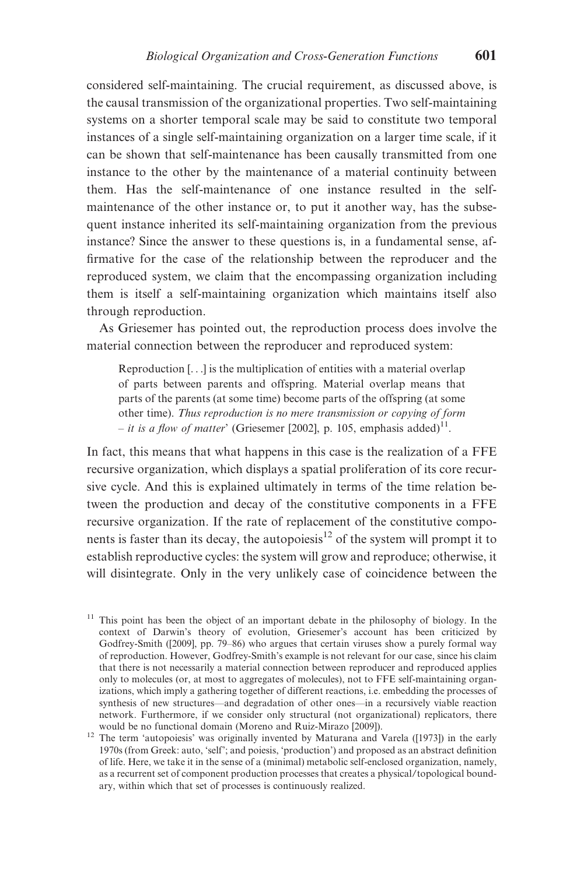considered self-maintaining. The crucial requirement, as discussed above, is the causal transmission of the organizational properties. Two self-maintaining systems on a shorter temporal scale may be said to constitute two temporal instances of a single self-maintaining organization on a larger time scale, if it can be shown that self-maintenance has been causally transmitted from one instance to the other by the maintenance of a material continuity between them. Has the self-maintenance of one instance resulted in the selfmaintenance of the other instance or, to put it another way, has the subsequent instance inherited its self-maintaining organization from the previous instance? Since the answer to these questions is, in a fundamental sense, affirmative for the case of the relationship between the reproducer and the reproduced system, we claim that the encompassing organization including them is itself a self-maintaining organization which maintains itself also through reproduction.

As Griesemer has pointed out, the reproduction process does involve the material connection between the reproducer and reproduced system:

Reproduction [...] is the multiplication of entities with a material overlap of parts between parents and offspring. Material overlap means that parts of the parents (at some time) become parts of the offspring (at some other time). Thus reproduction is no mere transmission or copying of form – it is a flow of matter' (Griesemer [2002], p. 105, emphasis added)<sup>11</sup>.

In fact, this means that what happens in this case is the realization of a FFE recursive organization, which displays a spatial proliferation of its core recursive cycle. And this is explained ultimately in terms of the time relation between the production and decay of the constitutive components in a FFE recursive organization. If the rate of replacement of the constitutive components is faster than its decay, the autopoiesis<sup>12</sup> of the system will prompt it to establish reproductive cycles: the system will grow and reproduce; otherwise, it will disintegrate. Only in the very unlikely case of coincidence between the

 $11$  This point has been the object of an important debate in the philosophy of biology. In the context of Darwin's theory of evolution, Griesemer's account has been criticized by Godfrey-Smith ([2009], pp. 79–86) who argues that certain viruses show a purely formal way of reproduction. However, Godfrey-Smith's example is not relevant for our case, since his claim that there is not necessarily a material connection between reproducer and reproduced applies only to molecules (or, at most to aggregates of molecules), not to FFE self-maintaining organizations, which imply a gathering together of different reactions, i.e. embedding the processes of synthesis of new structures—and degradation of other ones—in a recursively viable reaction network. Furthermore, if we consider only structural (not organizational) replicators, there would be no functional domain (Moreno and Ruiz-Mirazo [2009]).

 $12$  The term 'autopoiesis' was originally invented by Maturana and Varela ([1973]) in the early 1970s (from Greek: auto, 'self'; and poiesis, 'production') and proposed as an abstract definition of life. Here, we take it in the sense of a (minimal) metabolic self-enclosed organization, namely, as a recurrent set of component production processes that creates a physical/topological boundary, within which that set of processes is continuously realized.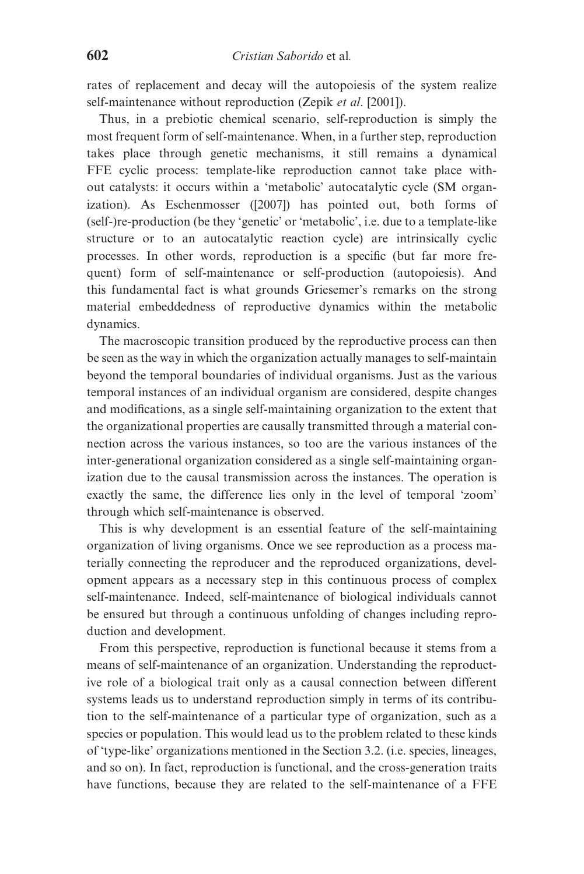rates of replacement and decay will the autopoiesis of the system realize self-maintenance without reproduction (Zepik et al. [2001]).

Thus, in a prebiotic chemical scenario, self-reproduction is simply the most frequent form of self-maintenance. When, in a further step, reproduction takes place through genetic mechanisms, it still remains a dynamical FFE cyclic process: template-like reproduction cannot take place without catalysts: it occurs within a 'metabolic' autocatalytic cycle (SM organization). As Eschenmosser ([2007]) has pointed out, both forms of (self-)re-production (be they 'genetic' or 'metabolic', i.e. due to a template-like structure or to an autocatalytic reaction cycle) are intrinsically cyclic processes. In other words, reproduction is a specific (but far more frequent) form of self-maintenance or self-production (autopoiesis). And this fundamental fact is what grounds Griesemer's remarks on the strong material embeddedness of reproductive dynamics within the metabolic dynamics.

The macroscopic transition produced by the reproductive process can then be seen as the way in which the organization actually manages to self-maintain beyond the temporal boundaries of individual organisms. Just as the various temporal instances of an individual organism are considered, despite changes and modifications, as a single self-maintaining organization to the extent that the organizational properties are causally transmitted through a material connection across the various instances, so too are the various instances of the inter-generational organization considered as a single self-maintaining organization due to the causal transmission across the instances. The operation is exactly the same, the difference lies only in the level of temporal 'zoom' through which self-maintenance is observed.

This is why development is an essential feature of the self-maintaining organization of living organisms. Once we see reproduction as a process materially connecting the reproducer and the reproduced organizations, development appears as a necessary step in this continuous process of complex self-maintenance. Indeed, self-maintenance of biological individuals cannot be ensured but through a continuous unfolding of changes including reproduction and development.

From this perspective, reproduction is functional because it stems from a means of self-maintenance of an organization. Understanding the reproductive role of a biological trait only as a causal connection between different systems leads us to understand reproduction simply in terms of its contribution to the self-maintenance of a particular type of organization, such as a species or population. This would lead us to the problem related to these kinds of 'type-like' organizations mentioned in the Section 3.2. (i.e. species, lineages, and so on). In fact, reproduction is functional, and the cross-generation traits have functions, because they are related to the self-maintenance of a FFE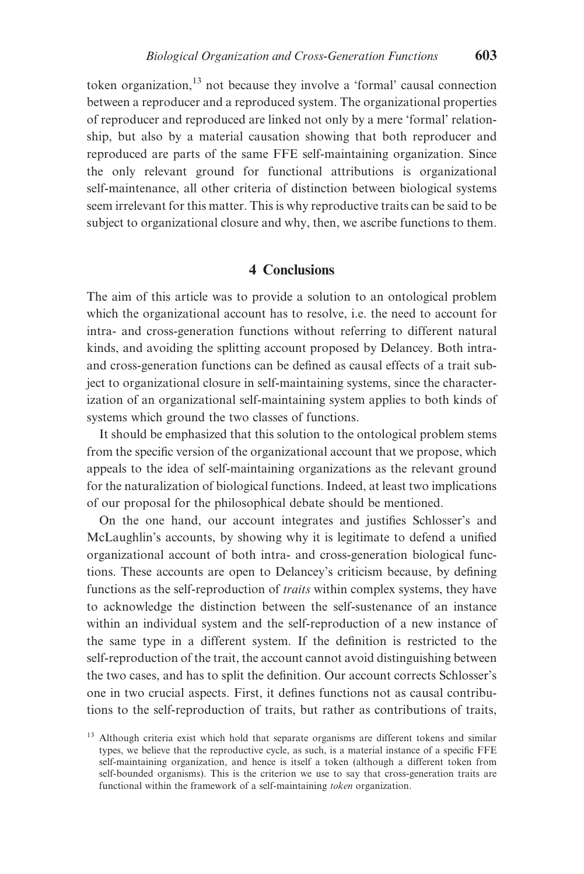token organization,  $13$  not because they involve a 'formal' causal connection between a reproducer and a reproduced system. The organizational properties of reproducer and reproduced are linked not only by a mere 'formal' relationship, but also by a material causation showing that both reproducer and reproduced are parts of the same FFE self-maintaining organization. Since the only relevant ground for functional attributions is organizational self-maintenance, all other criteria of distinction between biological systems seem irrelevant for this matter. This is why reproductive traits can be said to be subject to organizational closure and why, then, we ascribe functions to them.

## 4 Conclusions

The aim of this article was to provide a solution to an ontological problem which the organizational account has to resolve, i.e. the need to account for intra- and cross-generation functions without referring to different natural kinds, and avoiding the splitting account proposed by Delancey. Both intraand cross-generation functions can be defined as causal effects of a trait subject to organizational closure in self-maintaining systems, since the characterization of an organizational self-maintaining system applies to both kinds of systems which ground the two classes of functions.

It should be emphasized that this solution to the ontological problem stems from the specific version of the organizational account that we propose, which appeals to the idea of self-maintaining organizations as the relevant ground for the naturalization of biological functions. Indeed, at least two implications of our proposal for the philosophical debate should be mentioned.

On the one hand, our account integrates and justifies Schlosser's and McLaughlin's accounts, by showing why it is legitimate to defend a unified organizational account of both intra- and cross-generation biological functions. These accounts are open to Delancey's criticism because, by defining functions as the self-reproduction of traits within complex systems, they have to acknowledge the distinction between the self-sustenance of an instance within an individual system and the self-reproduction of a new instance of the same type in a different system. If the definition is restricted to the self-reproduction of the trait, the account cannot avoid distinguishing between the two cases, and has to split the definition. Our account corrects Schlosser's one in two crucial aspects. First, it defines functions not as causal contributions to the self-reproduction of traits, but rather as contributions of traits,

<sup>&</sup>lt;sup>13</sup> Although criteria exist which hold that separate organisms are different tokens and similar types, we believe that the reproductive cycle, as such, is a material instance of a specific FFE self-maintaining organization, and hence is itself a token (although a different token from self-bounded organisms). This is the criterion we use to say that cross-generation traits are functional within the framework of a self-maintaining token organization.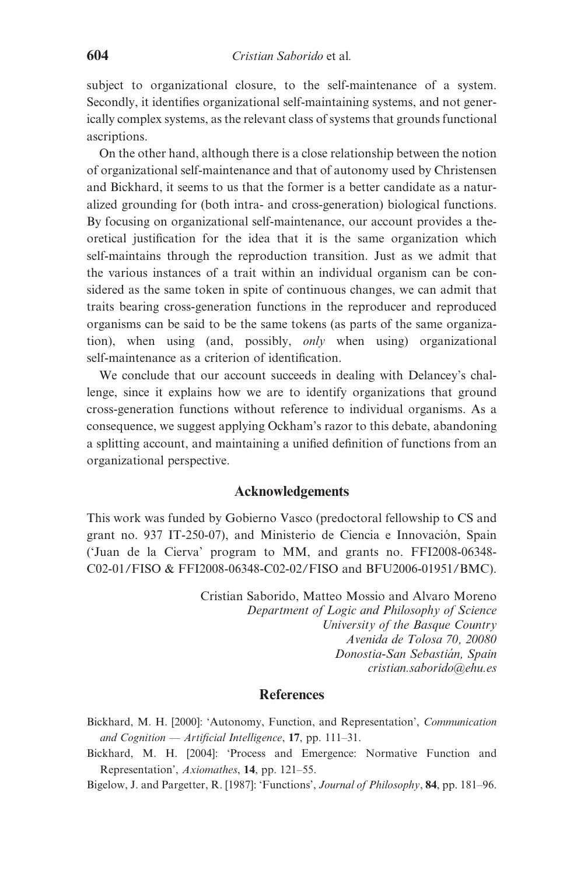subject to organizational closure, to the self-maintenance of a system. Secondly, it identifies organizational self-maintaining systems, and not generically complex systems, as the relevant class of systems that grounds functional ascriptions.

On the other hand, although there is a close relationship between the notion of organizational self-maintenance and that of autonomy used by Christensen and Bickhard, it seems to us that the former is a better candidate as a naturalized grounding for (both intra- and cross-generation) biological functions. By focusing on organizational self-maintenance, our account provides a theoretical justification for the idea that it is the same organization which self-maintains through the reproduction transition. Just as we admit that the various instances of a trait within an individual organism can be considered as the same token in spite of continuous changes, we can admit that traits bearing cross-generation functions in the reproducer and reproduced organisms can be said to be the same tokens (as parts of the same organization), when using (and, possibly, only when using) organizational self-maintenance as a criterion of identification.

We conclude that our account succeeds in dealing with Delancey's challenge, since it explains how we are to identify organizations that ground cross-generation functions without reference to individual organisms. As a consequence, we suggest applying Ockham's razor to this debate, abandoning a splitting account, and maintaining a unified definition of functions from an organizational perspective.

## Acknowledgements

This work was funded by Gobierno Vasco (predoctoral fellowship to CS and grant no. 937 IT-250-07), and Ministerio de Ciencia e Innovación, Spain ('Juan de la Cierva' program to MM, and grants no. FFI2008-06348- C02-01/FISO & FFI2008-06348-C02-02/FISO and BFU2006-01951/BMC).

> Cristian Saborido, Matteo Mossio and Alvaro Moreno Department of Logic and Philosophy of Science University of the Basque Country Avenida de Tolosa 70, 20080 Donostia-San Sebastián, Spain cristian.saborido@ehu.es

## **References**

Bickhard, M. H. [2000]: 'Autonomy, Function, and Representation', Communication and Cognition — Artificial Intelligence, 17, pp. 111–31.

Bickhard, M. H. [2004]: 'Process and Emergence: Normative Function and Representation', Axiomathes, 14, pp. 121–55.

Bigelow, J. and Pargetter, R. [1987]: 'Functions', *Journal of Philosophy*, 84, pp. 181–96.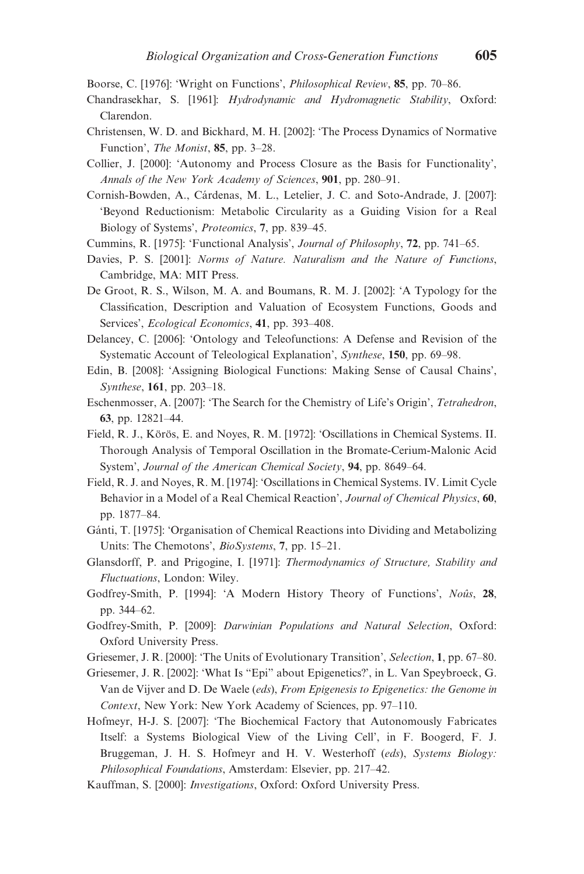Boorse, C. [1976]: 'Wright on Functions', Philosophical Review, 85, pp. 70–86.

- Chandrasekhar, S. [1961]: Hydrodynamic and Hydromagnetic Stability, Oxford: Clarendon.
- Christensen, W. D. and Bickhard, M. H. [2002]: 'The Process Dynamics of Normative Function', The Monist, 85, pp. 3–28.
- Collier, J. [2000]: 'Autonomy and Process Closure as the Basis for Functionality', Annals of the New York Academy of Sciences, 901, pp. 280-91.
- Cornish-Bowden, A., Cárdenas, M. L., Letelier, J. C. and Soto-Andrade, J. [2007]: 'Beyond Reductionism: Metabolic Circularity as a Guiding Vision for a Real Biology of Systems', Proteomics, 7, pp. 839–45.
- Cummins, R. [1975]: 'Functional Analysis', Journal of Philosophy, 72, pp. 741–65.
- Davies, P. S. [2001]: Norms of Nature. Naturalism and the Nature of Functions, Cambridge, MA: MIT Press.
- De Groot, R. S., Wilson, M. A. and Boumans, R. M. J. [2002]: 'A Typology for the Classification, Description and Valuation of Ecosystem Functions, Goods and Services', Ecological Economics, 41, pp. 393–408.
- Delancey, C. [2006]: 'Ontology and Teleofunctions: A Defense and Revision of the Systematic Account of Teleological Explanation', Synthese, 150, pp. 69–98.
- Edin, B. [2008]: 'Assigning Biological Functions: Making Sense of Causal Chains', Synthese, 161, pp. 203–18.
- Eschenmosser, A. [2007]: 'The Search for the Chemistry of Life's Origin', Tetrahedron, 63, pp. 12821–44.
- Field, R. J., Körös, E. and Noyes, R. M. [1972]: 'Oscillations in Chemical Systems. II. Thorough Analysis of Temporal Oscillation in the Bromate-Cerium-Malonic Acid System', Journal of the American Chemical Society, 94, pp. 8649–64.
- Field, R. J. and Noyes, R. M. [1974]: 'Oscillations in Chemical Systems. IV. Limit Cycle Behavior in a Model of a Real Chemical Reaction', Journal of Chemical Physics, 60, pp. 1877–84.
- Gánti, T. [1975]: 'Organisation of Chemical Reactions into Dividing and Metabolizing Units: The Chemotons', BioSystems, 7, pp. 15–21.
- Glansdorff, P. and Prigogine, I. [1971]: Thermodynamics of Structure, Stability and Fluctuations, London: Wiley.
- Godfrey-Smith, P. [1994]: 'A Modern History Theory of Functions', Nous, 28, pp. 344–62.
- Godfrey-Smith, P. [2009]: Darwinian Populations and Natural Selection, Oxford: Oxford University Press.
- Griesemer, J. R. [2000]: 'The Units of Evolutionary Transition', Selection, 1, pp. 67–80.
- Griesemer, J. R. [2002]: 'What Is "Epi" about Epigenetics?', in L. Van Speybroeck, G. Van de Vijver and D. De Waele (eds), From Epigenesis to Epigenetics: the Genome in Context, New York: New York Academy of Sciences, pp. 97–110.
- Hofmeyr, H-J. S. [2007]: 'The Biochemical Factory that Autonomously Fabricates Itself: a Systems Biological View of the Living Cell', in F. Boogerd, F. J. Bruggeman, J. H. S. Hofmeyr and H. V. Westerhoff (eds), Systems Biology: Philosophical Foundations, Amsterdam: Elsevier, pp. 217–42.

Kauffman, S. [2000]: Investigations, Oxford: Oxford University Press.